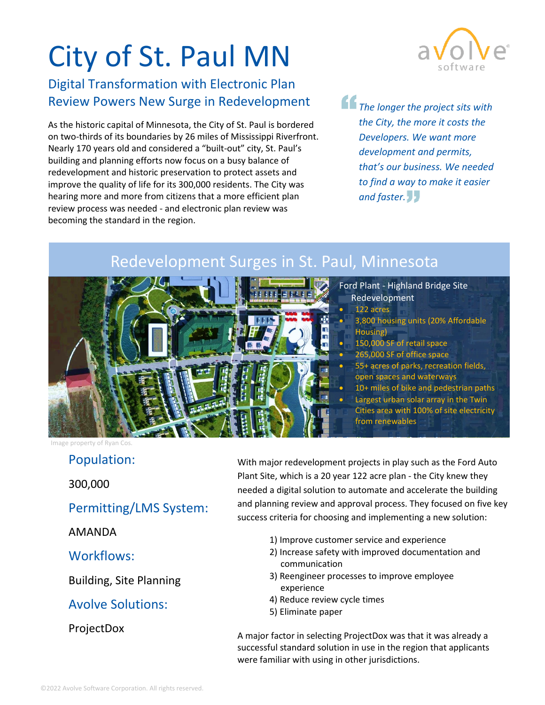# City of St. Paul MN

## Digital Transformation with Electronic Plan Review Powers New Surge in Redevelopment

As the historic capital of Minnesota, the City of St. Paul is bordered on two-thirds of its boundaries by 26 miles of Mississippi Riverfront. Nearly 170 years old and considered a "built-out" city, St. Paul's building and planning efforts now focus on a busy balance of redevelopment and historic preservation to protect assets and improve the quality of life for its 300,000 residents. The City was hearing more and more from citizens that a more efficient plan review process was needed - and electronic plan review was becoming the standard in the region.



*The longer the project sits with the City, the more it costs the Developers. We want more development and permits, that's our business. We needed to find a way to make it easier and faster.*

# Redevelopment Surges in St. Paul, Minnesota



- Ford Plant Highland Bridge Site Redevelopment
	- 122 acres
	- 3,800 housing units (20% Affordable Housing)
	- 150,000 SF of retail space
	- 265,000 SF of office space
	- 55+ acres of parks, recreation fields, open spaces and waterways
	- 10+ miles of bike and pedestrian paths
	- Largest urban solar array in the Twin Cities area with 100% of site electricity from renewables

Image property of Ryan Cos.

#### Population:

300,000

#### Permitting/LMS System:

AMANDA

#### Workflows:

Building, Site Planning

#### Avolve Solutions:

#### **ProjectDox**

With major redevelopment projects in play such as the Ford Auto Plant Site, which is a 20 year 122 acre plan - the City knew they needed a digital solution to automate and accelerate the building and planning review and approval process. They focused on five key success criteria for choosing and implementing a new solution:

- 1) Improve customer service and experience
- 2) Increase safety with improved documentation and communication
- 3) Reengineer processes to improve employee experience
- 4) Reduce review cycle times
- 5) Eliminate paper

A major factor in selecting ProjectDox was that it was already a successful standard solution in use in the region that applicants were familiar with using in other jurisdictions.